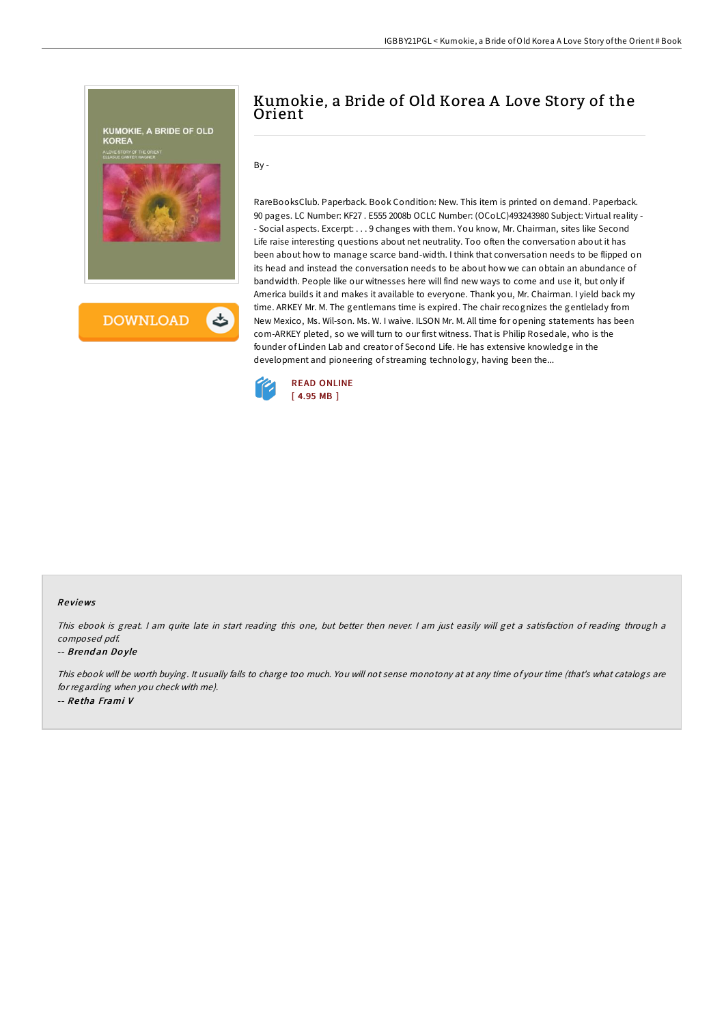

# Kumokie, a Bride of Old Korea A Love Story of the Orient

By -

RareBooksClub. Paperback. Book Condition: New. This item is printed on demand. Paperback. 90 pages. LC Number: KF27 . E555 2008b OCLC Number: (OCoLC)493243980 Subject: Virtual reality - - Social aspects. Excerpt: . . . 9 changes with them. You know, Mr. Chairman, sites like Second Life raise interesting questions about net neutrality. Too often the conversation about it has been about how to manage scarce band-width. I think that conversation needs to be flipped on its head and instead the conversation needs to be about how we can obtain an abundance of bandwidth. People like our witnesses here will find new ways to come and use it, but only if America builds it and makes it available to everyone. Thank you, Mr. Chairman. I yield back my time. ARKEY Mr. M. The gentlemans time is expired. The chair recognizes the gentlelady from New Mexico, Ms. Wil-son. Ms. W. I waive. ILSON Mr. M. All time for opening statements has been com-ARKEY pleted, so we will turn to our first witness. That is Philip Rosedale, who is the founder of Linden Lab and creator of Second Life. He has extensive knowledge in the development and pioneering of streaming technology, having been the...



### Re views

This ebook is great. <sup>I</sup> am quite late in start reading this one, but better then never. <sup>I</sup> am just easily will get <sup>a</sup> satisfaction of reading through <sup>a</sup> composed pdf.

#### -- Brend an Do yle

This ebook will be worth buying. It usually fails to charge too much. You will not sense monotony at at any time of your time (that's what catalogs are for regarding when you check with me). -- Re tha Frami V